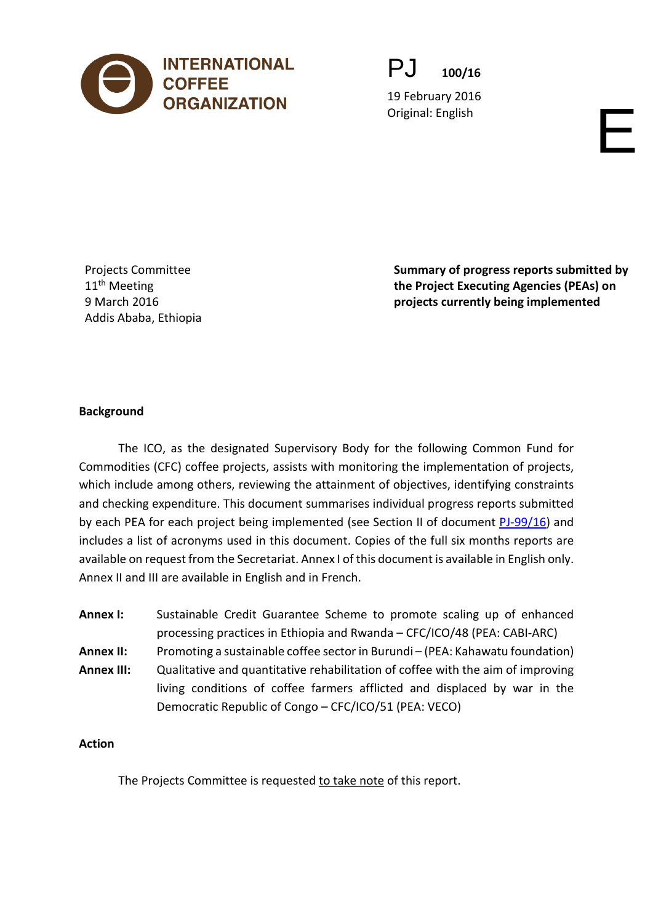

PJ **100/16**

19 February 2016 Original: English English English English English English English English English English English English English English English English English English English English English English English English English English Engl

Projects Committee 11<sup>th</sup> Meeting 9 March 2016 Addis Ababa, Ethiopia **Summary of progress reports submitted by the Project Executing Agencies (PEAs) on projects currently being implemented** 

## **Background**

The ICO, as the designated Supervisory Body for the following Common Fund for Commodities (CFC) coffee projects, assists with monitoring the implementation of projects, which include among others, reviewing the attainment of objectives, identifying constraints and checking expenditure. This document summarises individual progress reports submitted by each PEA for each project being implemented (see Section II of document [PJ-99/16\)](http://www.ico.org/documents/cy2015-16/pj-99e-projects.pdf) and includes a list of acronyms used in this document. Copies of the full six months reports are available on request from the Secretariat. Annex I of this document is available in English only. Annex II and III are available in English and in French.

**Annex I:** Sustainable Credit Guarantee Scheme to promote scaling up of enhanced processing practices in Ethiopia and Rwanda – CFC/ICO/48 (PEA: CABI-ARC) **Annex II:** Promoting a sustainable coffee sector in Burundi – (PEA: Kahawatu foundation) **Annex III:** Qualitative and quantitative rehabilitation of coffee with the aim of improving living conditions of coffee farmers afflicted and displaced by war in the Democratic Republic of Congo – CFC/ICO/51 (PEA: VECO)

### **Action**

The Projects Committee is requested to take note of this report.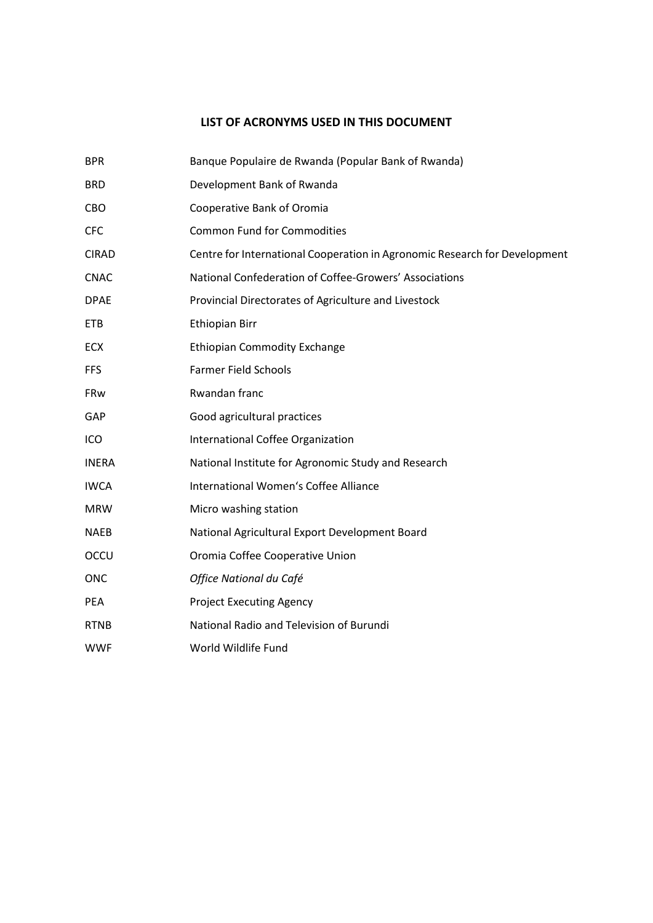### **LIST OF ACRONYMS USED IN THIS DOCUMENT**

| <b>BPR</b>   | Banque Populaire de Rwanda (Popular Bank of Rwanda)                        |
|--------------|----------------------------------------------------------------------------|
| <b>BRD</b>   | Development Bank of Rwanda                                                 |
| <b>CBO</b>   | Cooperative Bank of Oromia                                                 |
| <b>CFC</b>   | <b>Common Fund for Commodities</b>                                         |
| <b>CIRAD</b> | Centre for International Cooperation in Agronomic Research for Development |
| <b>CNAC</b>  | National Confederation of Coffee-Growers' Associations                     |
| <b>DPAE</b>  | Provincial Directorates of Agriculture and Livestock                       |
| <b>ETB</b>   | <b>Ethiopian Birr</b>                                                      |
| ECX          | <b>Ethiopian Commodity Exchange</b>                                        |
| <b>FFS</b>   | <b>Farmer Field Schools</b>                                                |
| FRw          | Rwandan franc                                                              |
| GAP          | Good agricultural practices                                                |
| ICO          | International Coffee Organization                                          |
| <b>INERA</b> | National Institute for Agronomic Study and Research                        |
| <b>IWCA</b>  | International Women's Coffee Alliance                                      |
| <b>MRW</b>   | Micro washing station                                                      |
| <b>NAEB</b>  | National Agricultural Export Development Board                             |
| OCCU         | Oromia Coffee Cooperative Union                                            |
| <b>ONC</b>   | Office National du Café                                                    |
| <b>PEA</b>   | <b>Project Executing Agency</b>                                            |
| <b>RTNB</b>  | National Radio and Television of Burundi                                   |
| <b>WWF</b>   | World Wildlife Fund                                                        |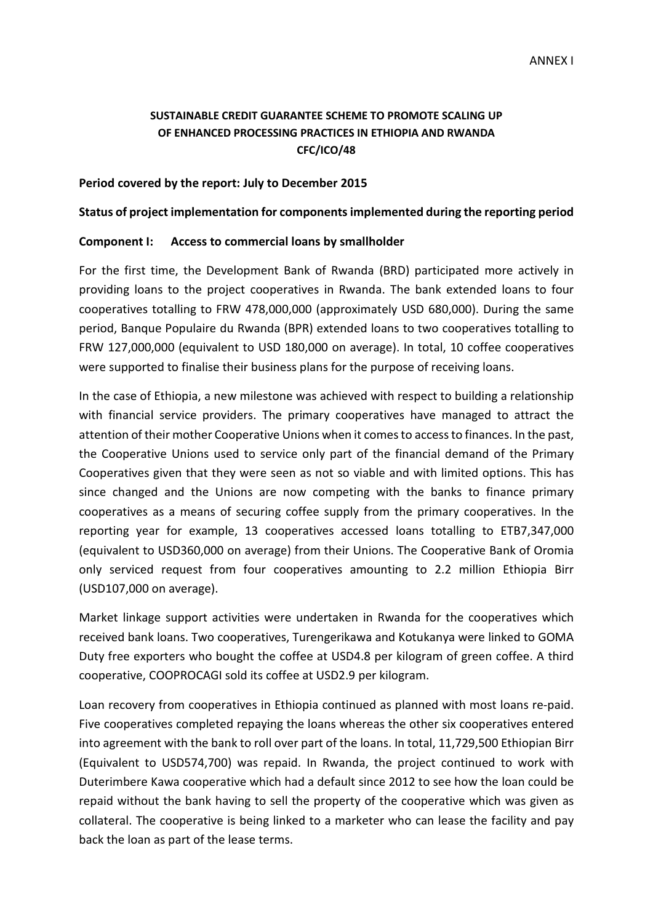### **SUSTAINABLE CREDIT GUARANTEE SCHEME TO PROMOTE SCALING UP OF ENHANCED PROCESSING PRACTICES IN ETHIOPIA AND RWANDA CFC/ICO/48**

### **Period covered by the report: July to December 2015**

### **Status of project implementation for components implemented during the reporting period**

### **Component I: Access to commercial loans by smallholder**

For the first time, the Development Bank of Rwanda (BRD) participated more actively in providing loans to the project cooperatives in Rwanda. The bank extended loans to four cooperatives totalling to FRW 478,000,000 (approximately USD 680,000). During the same period, Banque Populaire du Rwanda (BPR) extended loans to two cooperatives totalling to FRW 127,000,000 (equivalent to USD 180,000 on average). In total, 10 coffee cooperatives were supported to finalise their business plans for the purpose of receiving loans.

In the case of Ethiopia, a new milestone was achieved with respect to building a relationship with financial service providers. The primary cooperatives have managed to attract the attention of their mother Cooperative Unions when it comes to access to finances. In the past, the Cooperative Unions used to service only part of the financial demand of the Primary Cooperatives given that they were seen as not so viable and with limited options. This has since changed and the Unions are now competing with the banks to finance primary cooperatives as a means of securing coffee supply from the primary cooperatives. In the reporting year for example, 13 cooperatives accessed loans totalling to ETB7,347,000 (equivalent to USD360,000 on average) from their Unions. The Cooperative Bank of Oromia only serviced request from four cooperatives amounting to 2.2 million Ethiopia Birr (USD107,000 on average).

Market linkage support activities were undertaken in Rwanda for the cooperatives which received bank loans. Two cooperatives, Turengerikawa and Kotukanya were linked to GOMA Duty free exporters who bought the coffee at USD4.8 per kilogram of green coffee. A third cooperative, COOPROCAGI sold its coffee at USD2.9 per kilogram.

Loan recovery from cooperatives in Ethiopia continued as planned with most loans re-paid. Five cooperatives completed repaying the loans whereas the other six cooperatives entered into agreement with the bank to roll over part of the loans. In total, 11,729,500 Ethiopian Birr (Equivalent to USD574,700) was repaid. In Rwanda, the project continued to work with Duterimbere Kawa cooperative which had a default since 2012 to see how the loan could be repaid without the bank having to sell the property of the cooperative which was given as collateral. The cooperative is being linked to a marketer who can lease the facility and pay back the loan as part of the lease terms.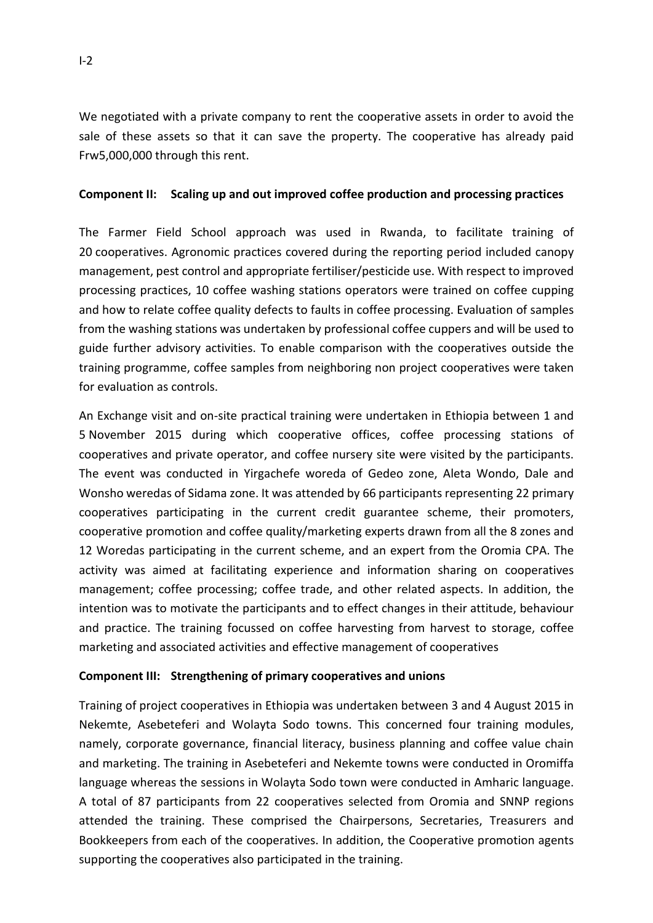We negotiated with a private company to rent the cooperative assets in order to avoid the sale of these assets so that it can save the property. The cooperative has already paid Frw5,000,000 through this rent.

### **Component II: Scaling up and out improved coffee production and processing practices**

The Farmer Field School approach was used in Rwanda, to facilitate training of 20 cooperatives. Agronomic practices covered during the reporting period included canopy management, pest control and appropriate fertiliser/pesticide use. With respect to improved processing practices, 10 coffee washing stations operators were trained on coffee cupping and how to relate coffee quality defects to faults in coffee processing. Evaluation of samples from the washing stations was undertaken by professional coffee cuppers and will be used to guide further advisory activities. To enable comparison with the cooperatives outside the training programme, coffee samples from neighboring non project cooperatives were taken for evaluation as controls.

An Exchange visit and on-site practical training were undertaken in Ethiopia between 1 and 5 November 2015 during which cooperative offices, coffee processing stations of cooperatives and private operator, and coffee nursery site were visited by the participants. The event was conducted in Yirgachefe woreda of Gedeo zone, Aleta Wondo, Dale and Wonsho weredas of Sidama zone. It was attended by 66 participants representing 22 primary cooperatives participating in the current credit guarantee scheme, their promoters, cooperative promotion and coffee quality/marketing experts drawn from all the 8 zones and 12 Woredas participating in the current scheme, and an expert from the Oromia CPA. The activity was aimed at facilitating experience and information sharing on cooperatives management; coffee processing; coffee trade, and other related aspects. In addition, the intention was to motivate the participants and to effect changes in their attitude, behaviour and practice. The training focussed on coffee harvesting from harvest to storage, coffee marketing and associated activities and effective management of cooperatives

## **Component III: Strengthening of primary cooperatives and unions**

Training of project cooperatives in Ethiopia was undertaken between 3 and 4 August 2015 in Nekemte, Asebeteferi and Wolayta Sodo towns. This concerned four training modules, namely, corporate governance, financial literacy, business planning and coffee value chain and marketing. The training in Asebeteferi and Nekemte towns were conducted in Oromiffa language whereas the sessions in Wolayta Sodo town were conducted in Amharic language. A total of 87 participants from 22 cooperatives selected from Oromia and SNNP regions attended the training. These comprised the Chairpersons, Secretaries, Treasurers and Bookkeepers from each of the cooperatives. In addition, the Cooperative promotion agents supporting the cooperatives also participated in the training.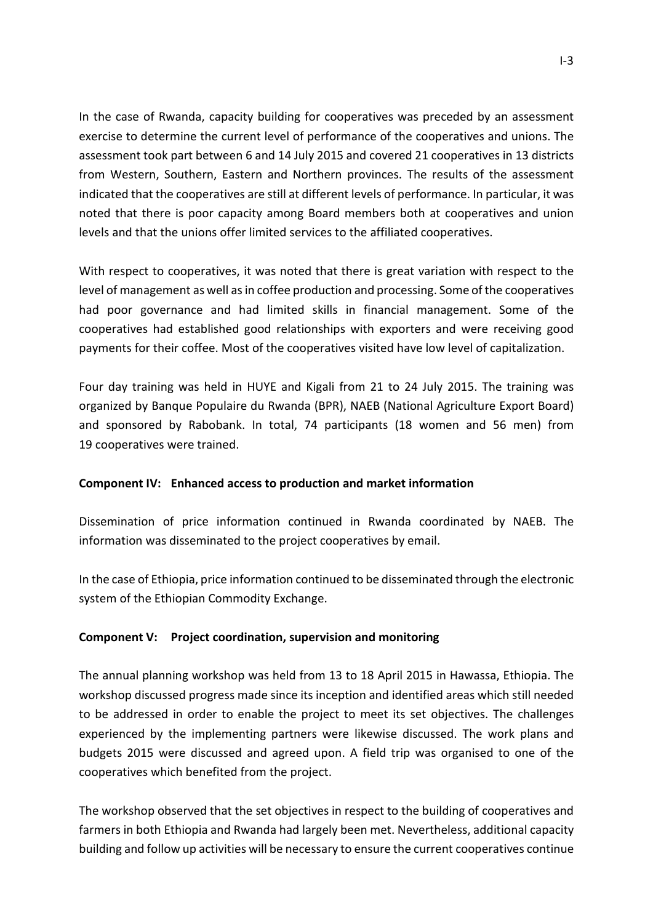In the case of Rwanda, capacity building for cooperatives was preceded by an assessment exercise to determine the current level of performance of the cooperatives and unions. The assessment took part between 6 and 14 July 2015 and covered 21 cooperatives in 13 districts from Western, Southern, Eastern and Northern provinces. The results of the assessment indicated that the cooperatives are still at different levels of performance. In particular, it was noted that there is poor capacity among Board members both at cooperatives and union levels and that the unions offer limited services to the affiliated cooperatives.

With respect to cooperatives, it was noted that there is great variation with respect to the level of management as well as in coffee production and processing. Some of the cooperatives had poor governance and had limited skills in financial management. Some of the cooperatives had established good relationships with exporters and were receiving good payments for their coffee. Most of the cooperatives visited have low level of capitalization.

Four day training was held in HUYE and Kigali from 21 to 24 July 2015. The training was organized by Banque Populaire du Rwanda (BPR), NAEB (National Agriculture Export Board) and sponsored by Rabobank. In total, 74 participants (18 women and 56 men) from 19 cooperatives were trained.

## **Component IV: Enhanced access to production and market information**

Dissemination of price information continued in Rwanda coordinated by NAEB. The information was disseminated to the project cooperatives by email.

In the case of Ethiopia, price information continued to be disseminated through the electronic system of the Ethiopian Commodity Exchange.

## **Component V: Project coordination, supervision and monitoring**

The annual planning workshop was held from 13 to 18 April 2015 in Hawassa, Ethiopia. The workshop discussed progress made since its inception and identified areas which still needed to be addressed in order to enable the project to meet its set objectives. The challenges experienced by the implementing partners were likewise discussed. The work plans and budgets 2015 were discussed and agreed upon. A field trip was organised to one of the cooperatives which benefited from the project.

The workshop observed that the set objectives in respect to the building of cooperatives and farmers in both Ethiopia and Rwanda had largely been met. Nevertheless, additional capacity building and follow up activities will be necessary to ensure the current cooperatives continue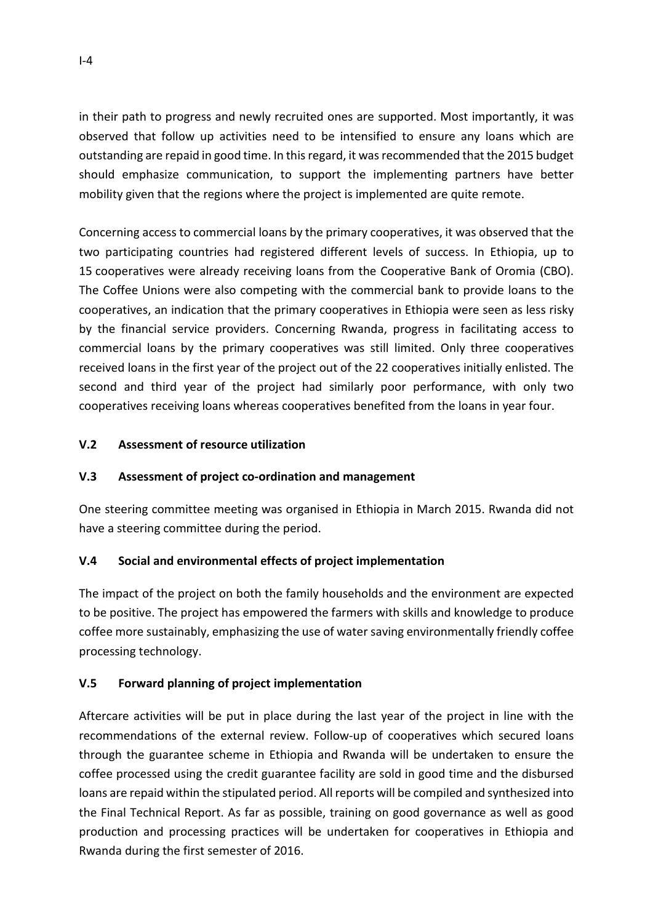in their path to progress and newly recruited ones are supported. Most importantly, it was observed that follow up activities need to be intensified to ensure any loans which are outstanding are repaid in good time. In this regard, it was recommended that the 2015 budget should emphasize communication, to support the implementing partners have better mobility given that the regions where the project is implemented are quite remote.

Concerning access to commercial loans by the primary cooperatives, it was observed that the two participating countries had registered different levels of success. In Ethiopia, up to 15 cooperatives were already receiving loans from the Cooperative Bank of Oromia (CBO). The Coffee Unions were also competing with the commercial bank to provide loans to the cooperatives, an indication that the primary cooperatives in Ethiopia were seen as less risky by the financial service providers. Concerning Rwanda, progress in facilitating access to commercial loans by the primary cooperatives was still limited. Only three cooperatives received loans in the first year of the project out of the 22 cooperatives initially enlisted. The second and third year of the project had similarly poor performance, with only two cooperatives receiving loans whereas cooperatives benefited from the loans in year four.

## **V.2 Assessment of resource utilization**

## **V.3 Assessment of project co-ordination and management**

One steering committee meeting was organised in Ethiopia in March 2015. Rwanda did not have a steering committee during the period.

## **V.4 Social and environmental effects of project implementation**

The impact of the project on both the family households and the environment are expected to be positive. The project has empowered the farmers with skills and knowledge to produce coffee more sustainably, emphasizing the use of water saving environmentally friendly coffee processing technology.

## **V.5 Forward planning of project implementation**

Aftercare activities will be put in place during the last year of the project in line with the recommendations of the external review. Follow-up of cooperatives which secured loans through the guarantee scheme in Ethiopia and Rwanda will be undertaken to ensure the coffee processed using the credit guarantee facility are sold in good time and the disbursed loans are repaid within the stipulated period. All reports will be compiled and synthesized into the Final Technical Report. As far as possible, training on good governance as well as good production and processing practices will be undertaken for cooperatives in Ethiopia and Rwanda during the first semester of 2016.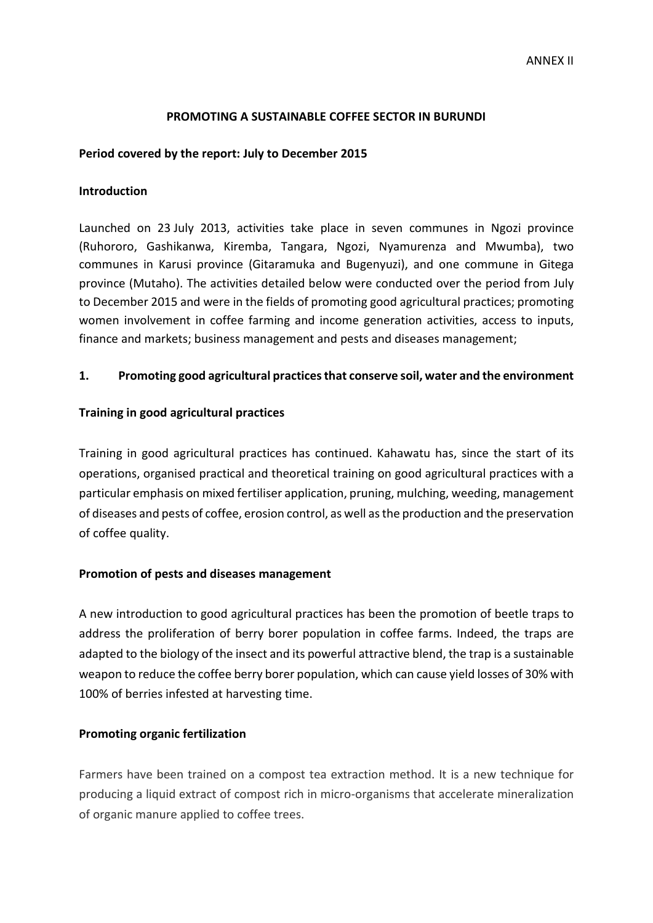### **PROMOTING A SUSTAINABLE COFFEE SECTOR IN BURUNDI**

### **Period covered by the report: July to December 2015**

### **Introduction**

Launched on 23 July 2013, activities take place in seven communes in Ngozi province (Ruhororo, Gashikanwa, Kiremba, Tangara, Ngozi, Nyamurenza and Mwumba), two communes in Karusi province (Gitaramuka and Bugenyuzi), and one commune in Gitega province (Mutaho). The activities detailed below were conducted over the period from July to December 2015 and were in the fields of promoting good agricultural practices; promoting women involvement in coffee farming and income generation activities, access to inputs, finance and markets; business management and pests and diseases management;

### **1. Promoting good agricultural practices that conserve soil, water and the environment**

### **Training in good agricultural practices**

Training in good agricultural practices has continued. Kahawatu has, since the start of its operations, organised practical and theoretical training on good agricultural practices with a particular emphasis on mixed fertiliser application, pruning, mulching, weeding, management of diseases and pests of coffee, erosion control, as well asthe production and the preservation of coffee quality.

### **Promotion of pests and diseases management**

A new introduction to good agricultural practices has been the promotion of beetle traps to address the proliferation of berry borer population in coffee farms. Indeed, the traps are adapted to the biology of the insect and its powerful attractive blend, the trap is a sustainable weapon to reduce the coffee berry borer population, which can cause yield losses of 30% with 100% of berries infested at harvesting time.

#### **Promoting organic fertilization**

Farmers have been trained on a compost tea extraction method. It is a new technique for producing a liquid extract of compost rich in micro-organisms that accelerate mineralization of organic manure applied to coffee trees.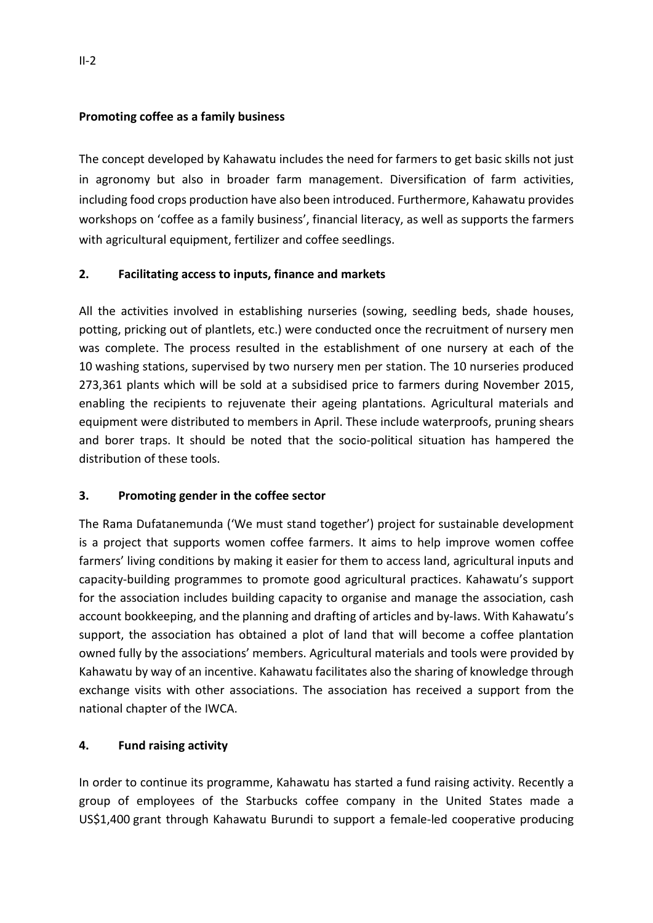## **Promoting coffee as a family business**

The concept developed by Kahawatu includes the need for farmers to get basic skills not just in agronomy but also in broader farm management. Diversification of farm activities, including food crops production have also been introduced. Furthermore, Kahawatu provides workshops on 'coffee as a family business', financial literacy, as well as supports the farmers with agricultural equipment, fertilizer and coffee seedlings.

## **2. Facilitating access to inputs, finance and markets**

All the activities involved in establishing nurseries (sowing, seedling beds, shade houses, potting, pricking out of plantlets, etc.) were conducted once the recruitment of nursery men was complete. The process resulted in the establishment of one nursery at each of the 10 washing stations, supervised by two nursery men per station. The 10 nurseries produced 273,361 plants which will be sold at a subsidised price to farmers during November 2015, enabling the recipients to rejuvenate their ageing plantations. Agricultural materials and equipment were distributed to members in April. These include waterproofs, pruning shears and borer traps. It should be noted that the socio-political situation has hampered the distribution of these tools.

## **3. Promoting gender in the coffee sector**

The Rama Dufatanemunda ('We must stand together') project for sustainable development is a project that supports women coffee farmers. It aims to help improve women coffee farmers' living conditions by making it easier for them to access land, agricultural inputs and capacity-building programmes to promote good agricultural practices. Kahawatu's support for the association includes building capacity to organise and manage the association, cash account bookkeeping, and the planning and drafting of articles and by-laws. With Kahawatu's support, the association has obtained a plot of land that will become a coffee plantation owned fully by the associations' members. Agricultural materials and tools were provided by Kahawatu by way of an incentive. Kahawatu facilitates also the sharing of knowledge through exchange visits with other associations. The association has received a support from the national chapter of the IWCA.

## **4. Fund raising activity**

In order to continue its programme, Kahawatu has started a fund raising activity. Recently a group of employees of the Starbucks coffee company in the United States made a US\$1,400 grant through Kahawatu Burundi to support a female-led cooperative producing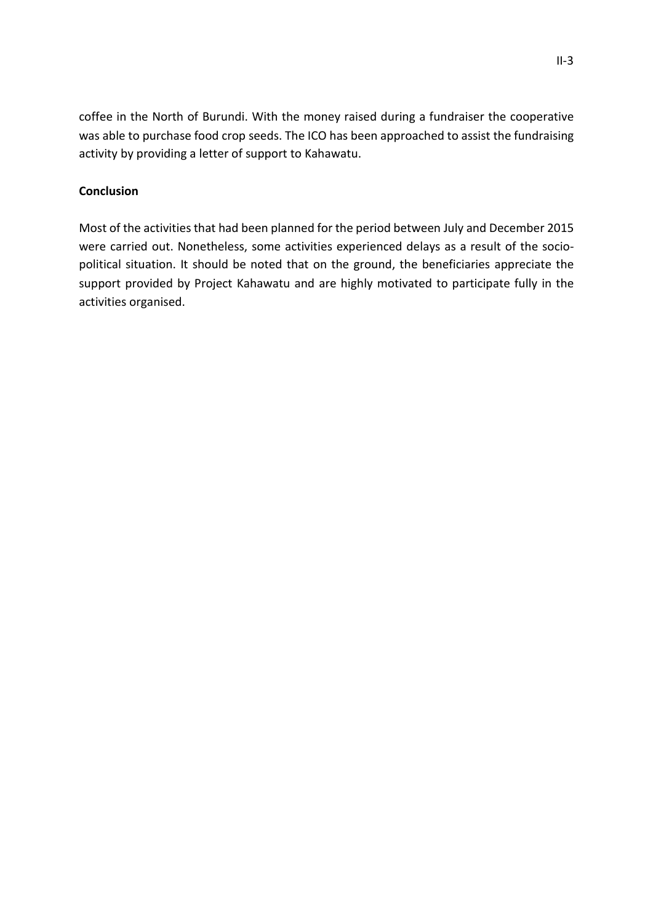coffee in the North of Burundi. With the money raised during a fundraiser the cooperative was able to purchase food crop seeds. The ICO has been approached to assist the fundraising activity by providing a letter of support to Kahawatu.

## **Conclusion**

Most of the activities that had been planned for the period between July and December 2015 were carried out. Nonetheless, some activities experienced delays as a result of the sociopolitical situation. It should be noted that on the ground, the beneficiaries appreciate the support provided by Project Kahawatu and are highly motivated to participate fully in the activities organised.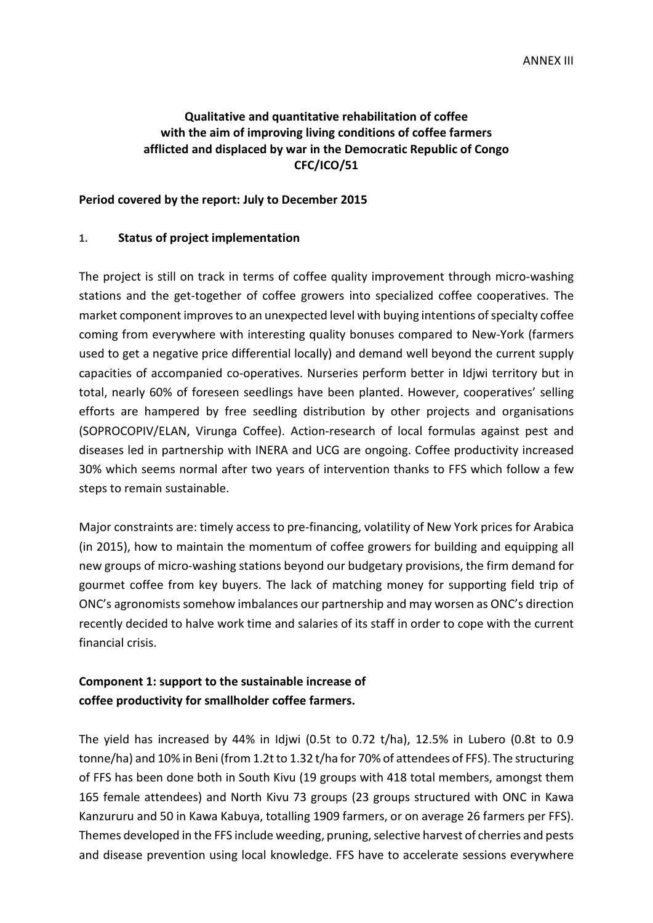## **Qualitative and quantitative rehabilitation of coffee with the aim of improving living conditions of coffee farmers afflicted and displaced by war in the Democratic Republic of Congo CFC/ICO/51**

#### **Period covered by the report: July to December 2015**

### **1. Status of project implementation**

The project is still on track in terms of coffee quality improvement through micro-washing stations and the get-together of coffee growers into specialized coffee cooperatives. The market component improves to an unexpected level with buying intentions of specialty coffee coming from everywhere with interesting quality bonuses compared to New-York (farmers used to get a negative price differential locally) and demand well beyond the current supply capacities of accompanied co-operatives. Nurseries perform better in Idjwi territory but in total, nearly 60% of foreseen seedlings have been planted. However, cooperatives' selling efforts are hampered by free seedling distribution by other projects and organisations (SOPROCOPIV/ELAN, Virunga Coffee). Action-research of local formulas against pest and diseases led in partnership with INERA and UCG are ongoing. Coffee productivity increased 30% which seems normal after two years of intervention thanks to FFS which follow a few steps to remain sustainable.

Major constraints are: timely access to pre-financing, volatility of New York prices for Arabica (in 2015), how to maintain the momentum of coffee growers for building and equipping all new groups of micro-washing stations beyond our budgetary provisions, the firm demand for gourmet coffee from key buyers. The lack of matching money for supporting field trip of ONC's agronomists somehow imbalances our partnership and may worsen as ONC's direction recently decided to halve work time and salaries of its staff in order to cope with the current financial crisis.

## **Component 1: support to the sustainable increase of coffee productivity for smallholder coffee farmers.**

The yield has increased by 44% in Idjwi (0.5t to 0.72 t/ha), 12.5% in Lubero (0.8t to 0.9 tonne/ha) and 10% in Beni (from 1.2t to 1.32 t/ha for 70% of attendees of FFS). The structuring of FFS has been done both in South Kivu (19 groups with 418 total members, amongst them 165 female attendees) and North Kivu 73 groups (23 groups structured with ONC in Kawa Kanzururu and 50 in Kawa Kabuya, totalling 1909 farmers, or on average 26 farmers per FFS). Themes developed in the FFS include weeding, pruning, selective harvest of cherries and pests and disease prevention using local knowledge. FFS have to accelerate sessions everywhere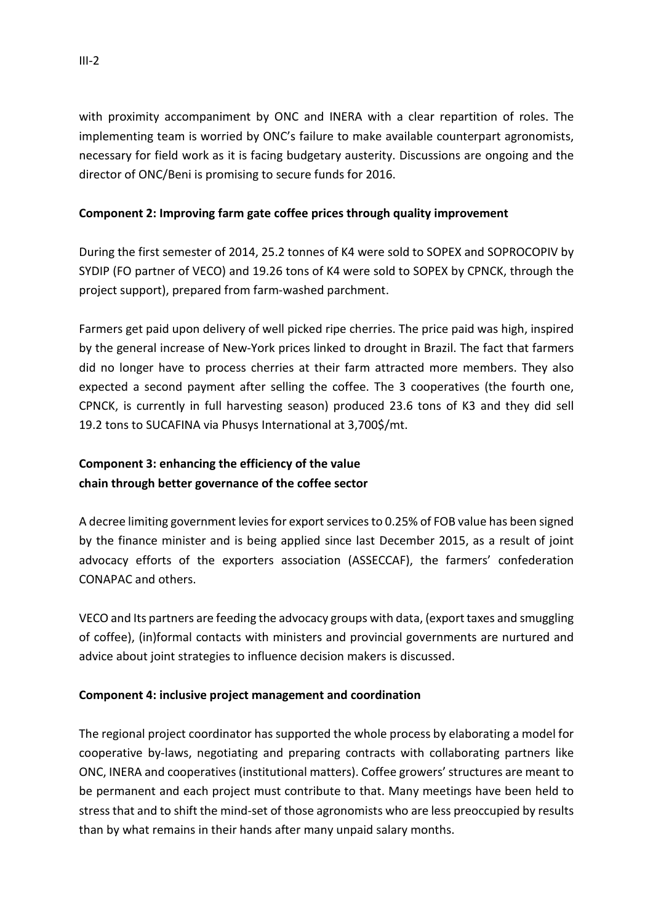with proximity accompaniment by ONC and INERA with a clear repartition of roles. The implementing team is worried by ONC's failure to make available counterpart agronomists, necessary for field work as it is facing budgetary austerity. Discussions are ongoing and the director of ONC/Beni is promising to secure funds for 2016.

## **Component 2: Improving farm gate coffee prices through quality improvement**

During the first semester of 2014, 25.2 tonnes of K4 were sold to SOPEX and SOPROCOPIV by SYDIP (FO partner of VECO) and 19.26 tons of K4 were sold to SOPEX by CPNCK, through the project support), prepared from farm-washed parchment.

Farmers get paid upon delivery of well picked ripe cherries. The price paid was high, inspired by the general increase of New-York prices linked to drought in Brazil. The fact that farmers did no longer have to process cherries at their farm attracted more members. They also expected a second payment after selling the coffee. The 3 cooperatives (the fourth one, CPNCK, is currently in full harvesting season) produced 23.6 tons of K3 and they did sell 19.2 tons to SUCAFINA via Phusys International at 3,700\$/mt.

# **Component 3: enhancing the efficiency of the value chain through better governance of the coffee sector**

A decree limiting government levies for export services to 0.25% of FOB value has been signed by the finance minister and is being applied since last December 2015, as a result of joint advocacy efforts of the exporters association (ASSECCAF), the farmers' confederation CONAPAC and others.

VECO and Its partners are feeding the advocacy groups with data, (export taxes and smuggling of coffee), (in)formal contacts with ministers and provincial governments are nurtured and advice about joint strategies to influence decision makers is discussed.

## **Component 4: inclusive project management and coordination**

The regional project coordinator has supported the whole process by elaborating a model for cooperative by-laws, negotiating and preparing contracts with collaborating partners like ONC, INERA and cooperatives (institutional matters). Coffee growers' structures are meant to be permanent and each project must contribute to that. Many meetings have been held to stress that and to shift the mind-set of those agronomists who are less preoccupied by results than by what remains in their hands after many unpaid salary months.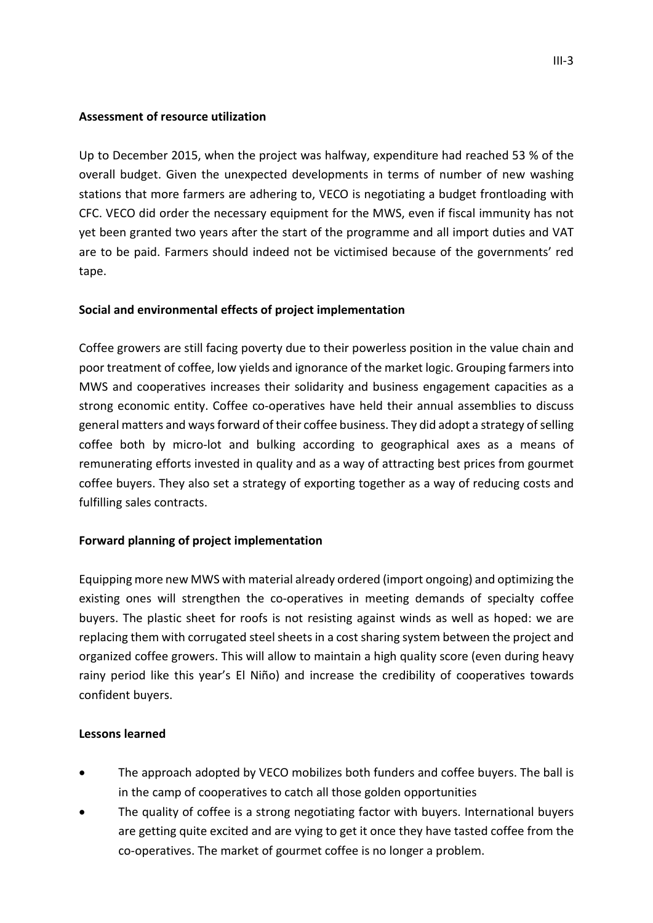### **Assessment of resource utilization**

Up to December 2015, when the project was halfway, expenditure had reached 53 % of the overall budget. Given the unexpected developments in terms of number of new washing stations that more farmers are adhering to, VECO is negotiating a budget frontloading with CFC. VECO did order the necessary equipment for the MWS, even if fiscal immunity has not yet been granted two years after the start of the programme and all import duties and VAT are to be paid. Farmers should indeed not be victimised because of the governments' red tape.

## **Social and environmental effects of project implementation**

Coffee growers are still facing poverty due to their powerless position in the value chain and poor treatment of coffee, low yields and ignorance of the market logic. Grouping farmers into MWS and cooperatives increases their solidarity and business engagement capacities as a strong economic entity. Coffee co-operatives have held their annual assemblies to discuss general matters and ways forward of their coffee business. They did adopt a strategy of selling coffee both by micro-lot and bulking according to geographical axes as a means of remunerating efforts invested in quality and as a way of attracting best prices from gourmet coffee buyers. They also set a strategy of exporting together as a way of reducing costs and fulfilling sales contracts.

## **Forward planning of project implementation**

Equipping more new MWS with material already ordered (import ongoing) and optimizing the existing ones will strengthen the co-operatives in meeting demands of specialty coffee buyers. The plastic sheet for roofs is not resisting against winds as well as hoped: we are replacing them with corrugated steel sheets in a cost sharing system between the project and organized coffee growers. This will allow to maintain a high quality score (even during heavy rainy period like this year's El Niño) and increase the credibility of cooperatives towards confident buyers.

### **Lessons learned**

- The approach adopted by VECO mobilizes both funders and coffee buyers. The ball is in the camp of cooperatives to catch all those golden opportunities
- The quality of coffee is a strong negotiating factor with buyers. International buyers are getting quite excited and are vying to get it once they have tasted coffee from the co-operatives. The market of gourmet coffee is no longer a problem.